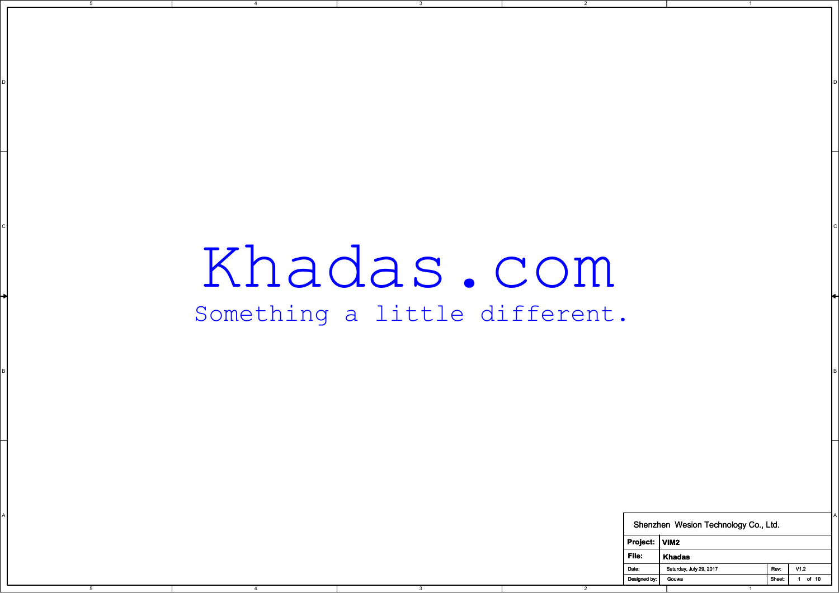## Khadas.com Something a little different.

CIL AND A CONTROL CONTROL CONTROL CONTROL CONTROL CONTROL CONTROL CONTROL CONTROL CONTROL CONTROL CONTROL CONTROL CONTROL CONTROL CONTROL CONTROL CONTROL CONTROL CONTROL CONTROL CONTROL CONTROL CONTROL CONTROL CONTROL CONT

3

D I DO NOTES AND THE RESERVE TO A RESERVE THE RESERVE TO A RESERVE THE RESERVE TO A RESERVE THE RESERVE TO A R

2

5

4

|       |      |                | point change a treete directere. |               |                                      |      |                                |
|-------|------|----------------|----------------------------------|---------------|--------------------------------------|------|--------------------------------|
|       |      |                |                                  |               |                                      |      |                                |
|       |      |                |                                  |               |                                      |      |                                |
|       |      |                |                                  |               |                                      |      |                                |
|       |      |                |                                  |               |                                      |      |                                |
|       |      |                |                                  |               |                                      |      |                                |
|       |      |                |                                  |               |                                      |      |                                |
|       |      |                |                                  |               |                                      |      |                                |
|       |      |                |                                  |               |                                      |      |                                |
|       |      |                |                                  |               |                                      |      |                                |
|       |      |                |                                  |               | Shenzhen Wesion Technology Co., Ltd. |      |                                |
|       |      |                |                                  | Project: VIM2 |                                      |      |                                |
|       |      |                |                                  | $ $ File:     | Khadas                               |      |                                |
|       |      |                |                                  | Date:         | Saturday, July 29, 2017<br>Gouwa     | Rev: | $\sqrt{1.2}$<br>Sheet: 1 of 10 |
| $5-5$ | $-4$ | 3 <sup>7</sup> | $\overline{2}$                   | Designed by:  | $\overline{1}$                       |      |                                |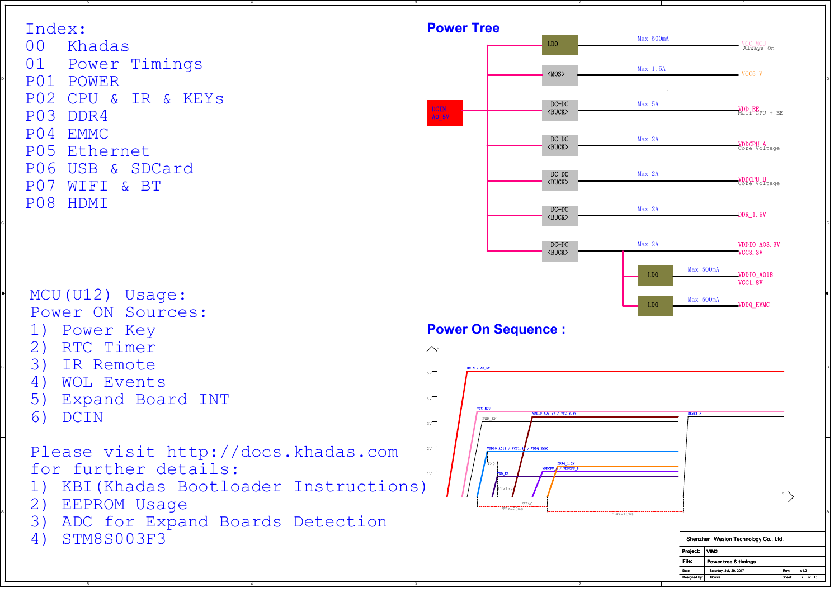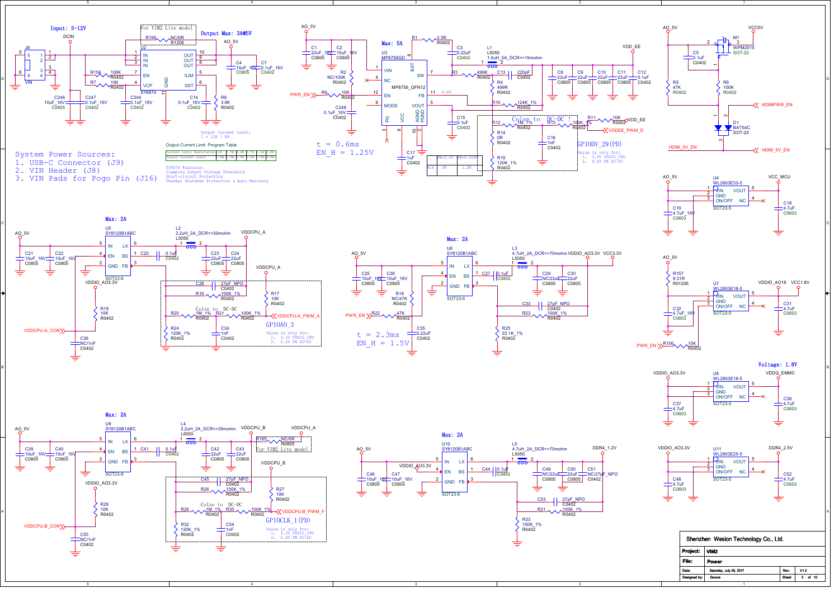

5

3. VIN Pads for Pogo Pin (J16)



2

3



1













|              | Shenzhen Wesion Technology Co., Ltd. |               |             |
|--------------|--------------------------------------|---------------|-------------|
| Project:     | VIM2                                 |               |             |
| File:        | Power                                |               |             |
| Date:        | Saturday, July 29, 2017              | Rev:          | V12         |
| Designed by: | Gouwa                                | <b>Sheet:</b> | of 10<br>3. |
|              |                                      |               |             |



4

5



2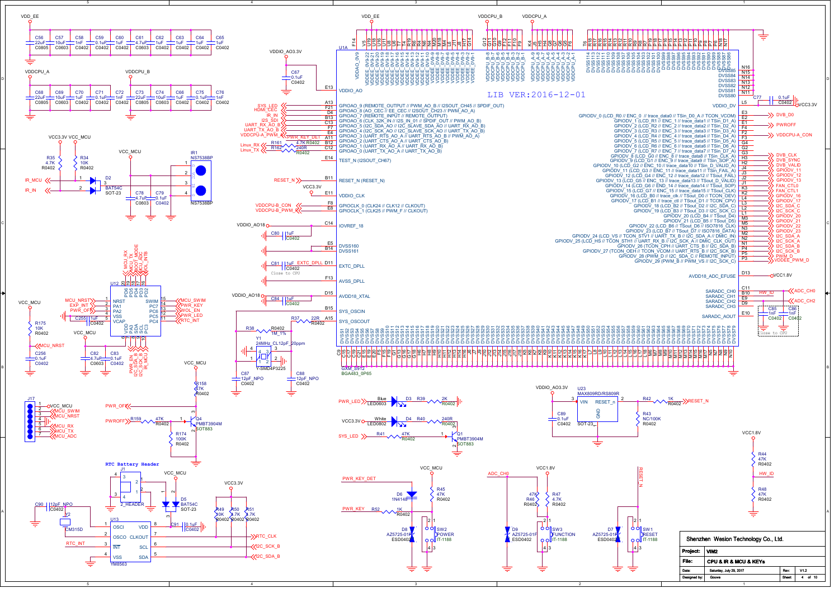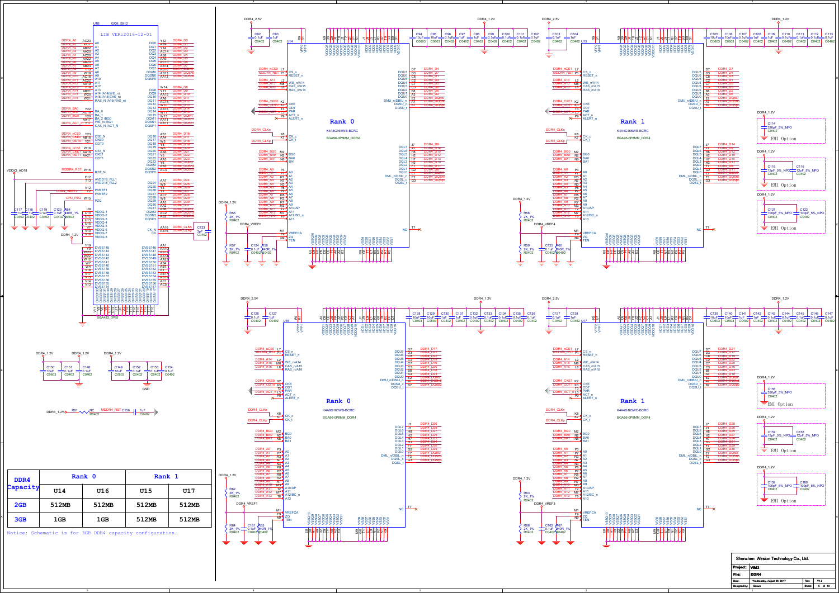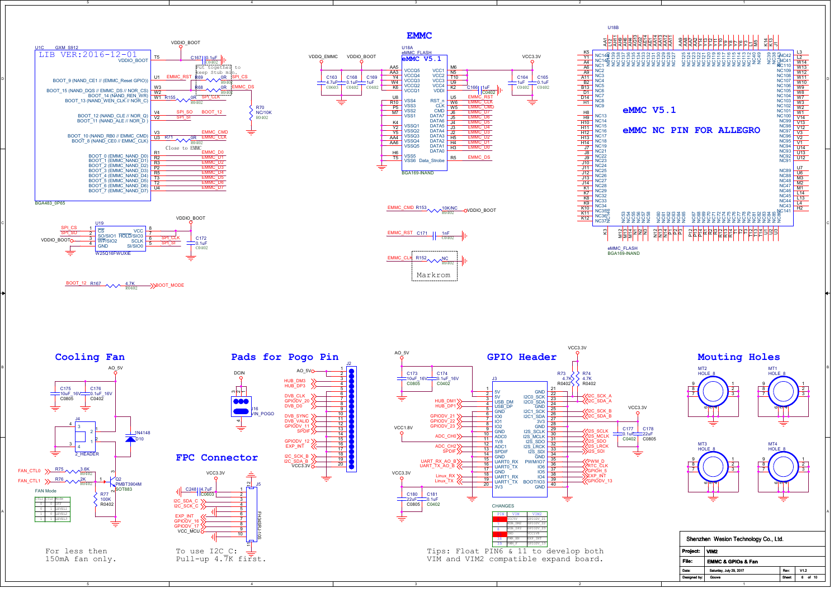



1

3

4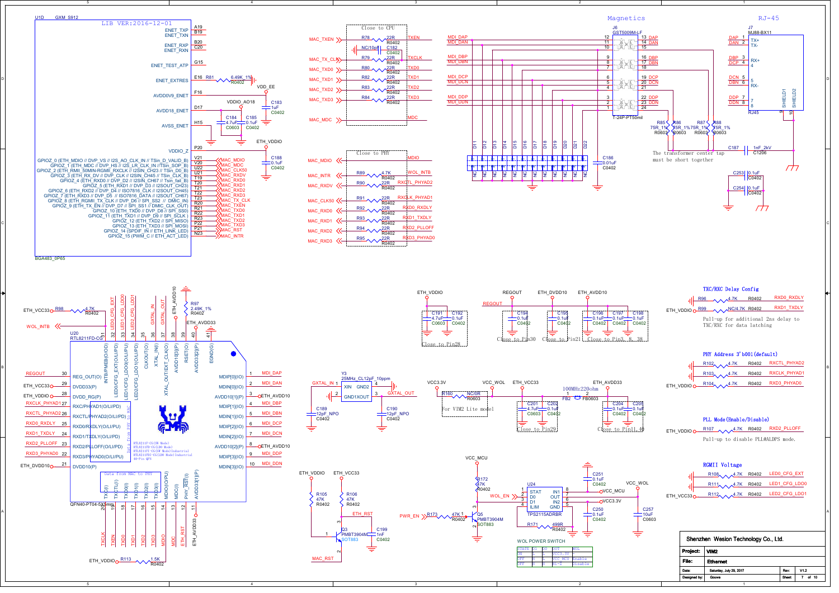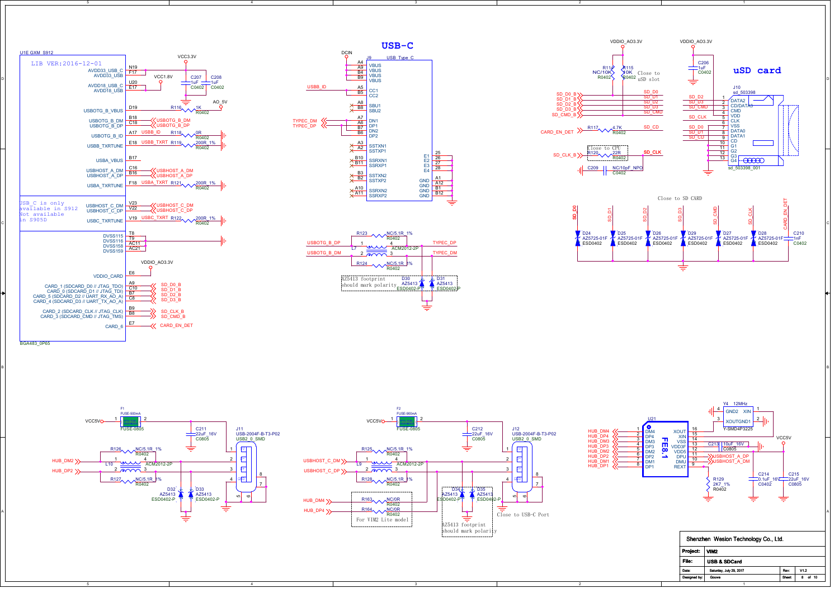

3

2

1

1

2

JSB\_C\_is\_only<br>available\_in\_S912 = USBHOST\_C\_DM\_<mark>\_V22\_\_</mark><br>Jot\_available\_ CARD\_2 (SDCARD\_CLK // JTAG\_CLK) B9

5

5

U1E GXM\_S912

4

4

BGA483\_0P65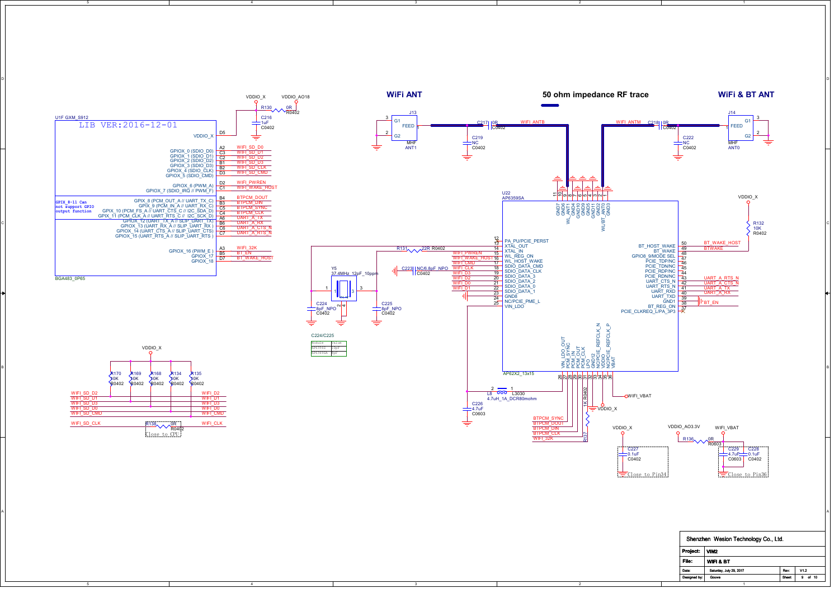

2

1

5